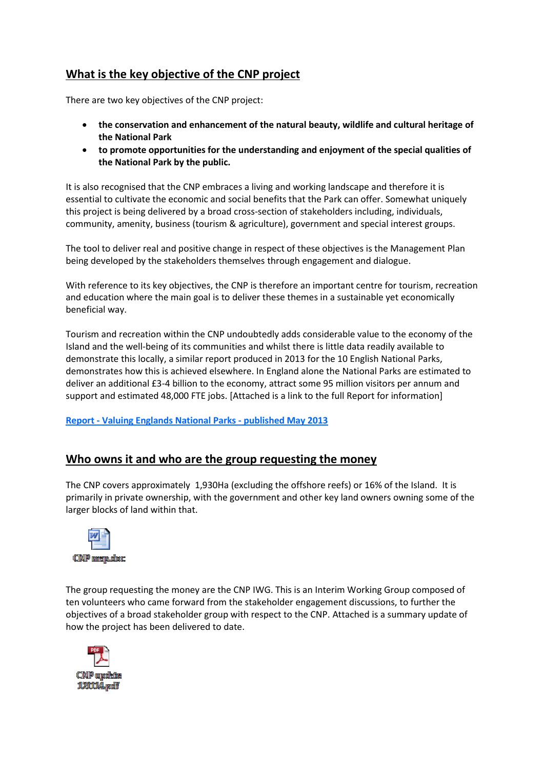# **What is the key objective of the CNP project**

There are two key objectives of the CNP project:

- **the conservation and enhancement of the natural beauty, wildlife and cultural heritage of the National Park**
- **to promote opportunities for the understanding and enjoyment of the special qualities of the National Park by the public.**

It is also recognised that the CNP embraces a living and working landscape and therefore it is essential to cultivate the economic and social benefits that the Park can offer. Somewhat uniquely this project is being delivered by a broad cross-section of stakeholders including, individuals, community, amenity, business (tourism & agriculture), government and special interest groups.

The tool to deliver real and positive change in respect of these objectives is the Management Plan being developed by the stakeholders themselves through engagement and dialogue.

With reference to its key objectives, the CNP is therefore an important centre for tourism, recreation and education where the main goal is to deliver these themes in a sustainable yet economically beneficial way.

Tourism and recreation within the CNP undoubtedly adds considerable value to the economy of the Island and the well-being of its communities and whilst there is little data readily available to demonstrate this locally, a similar report produced in 2013 for the 10 English National Parks, demonstrates how this is achieved elsewhere. In England alone the National Parks are estimated to deliver an additional £3-4 billion to the economy, attract some 95 million visitors per annum and support and estimated 48,000 FTE jobs. [Attached is a link to the full Report for information]

**Report - [Valuing Englands National Parks -](http://www.nationalparksengland.org.uk/home/news-and-media/press-releases/national-parks-national-assets) published May 2013**

#### **Who owns it and who are the group requesting the money**

The CNP covers approximately 1,930Ha (excluding the offshore reefs) or 16% of the Island. It is primarily in private ownership, with the government and other key land owners owning some of the larger blocks of land within that.



The group requesting the money are the CNP IWG. This is an Interim Working Group composed of ten volunteers who came forward from the stakeholder engagement discussions, to further the objectives of a broad stakeholder group with respect to the CNP. Attached is a summary update of how the project has been delivered to date.

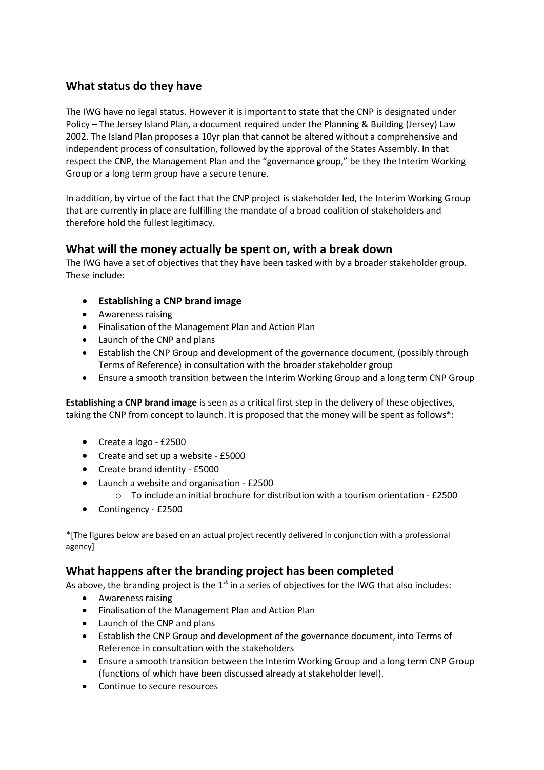## **What status do they have**

The IWG have no legal status. However it is important to state that the CNP is designated under Policy – The Jersey Island Plan, a document required under the Planning & Building (Jersey) Law 2002. The Island Plan proposes a 10yr plan that cannot be altered without a comprehensive and independent process of consultation, followed by the approval of the States Assembly. In that respect the CNP, the Management Plan and the "governance group," be they the Interim Working Group or a long term group have a secure tenure.

In addition, by virtue of the fact that the CNP project is stakeholder led, the Interim Working Group that are currently in place are fulfilling the mandate of a broad coalition of stakeholders and therefore hold the fullest legitimacy.

#### **What will the money actually be spent on, with a break down**

The IWG have a set of objectives that they have been tasked with by a broader stakeholder group. These include:

- **Establishing a CNP brand image**
- Awareness raising
- Finalisation of the Management Plan and Action Plan
- Launch of the CNP and plans
- Establish the CNP Group and development of the governance document, (possibly through Terms of Reference) in consultation with the broader stakeholder group
- Ensure a smooth transition between the Interim Working Group and a long term CNP Group

**Establishing a CNP brand image** is seen as a critical first step in the delivery of these objectives, taking the CNP from concept to launch. It is proposed that the money will be spent as follows\*:

- Create a logo £2500
- Create and set up a website £5000
- Create brand identity £5000
- Launch a website and organisation £2500
	- $\circ$  To include an initial brochure for distribution with a tourism orientation £2500
- Contingency £2500

\*[The figures below are based on an actual project recently delivered in conjunction with a professional agency]

### **What happens after the branding project has been completed**

As above, the branding project is the  $1<sup>st</sup>$  in a series of objectives for the IWG that also includes:

- Awareness raising
- Finalisation of the Management Plan and Action Plan
- Launch of the CNP and plans
- Establish the CNP Group and development of the governance document, into Terms of Reference in consultation with the stakeholders
- Ensure a smooth transition between the Interim Working Group and a long term CNP Group (functions of which have been discussed already at stakeholder level).
- Continue to secure resources